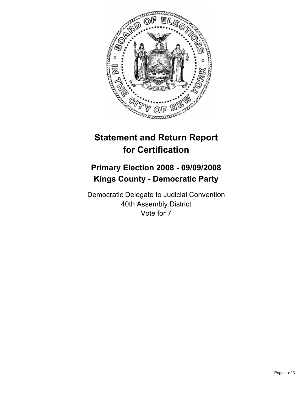

## **Statement and Return Report for Certification**

## **Primary Election 2008 - 09/09/2008 Kings County - Democratic Party**

Democratic Delegate to Judicial Convention 40th Assembly District Vote for 7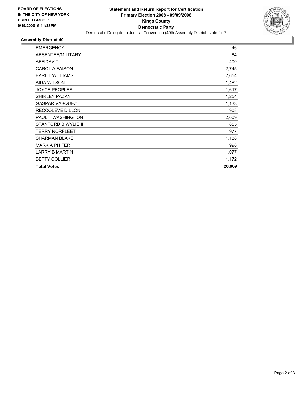

## **Assembly District 40**

| <b>EMERGENCY</b>         | 46     |
|--------------------------|--------|
| ABSENTEE/MILITARY        | 84     |
| <b>AFFIDAVIT</b>         | 400    |
| <b>CAROL A FAISON</b>    | 2,745  |
| <b>EARL L WILLIAMS</b>   | 2,654  |
| <b>AIDA WILSON</b>       | 1,482  |
| <b>JOYCE PEOPLES</b>     | 1,617  |
| <b>SHIRLEY PAZANT</b>    | 1,254  |
| <b>GASPAR VASQUEZ</b>    | 1,133  |
| RECCOLEVE DILLON         | 908    |
| <b>PAUL T WASHINGTON</b> | 2,009  |
| STANFORD B WYLIE II      | 855    |
| <b>TERRY NORFLEET</b>    | 977    |
| <b>SHARMAN BLAKE</b>     | 1,188  |
| <b>MARK A PHIFER</b>     | 998    |
| <b>LARRY B MARTIN</b>    | 1,077  |
| <b>BETTY COLLIER</b>     | 1,172  |
| <b>Total Votes</b>       | 20,069 |